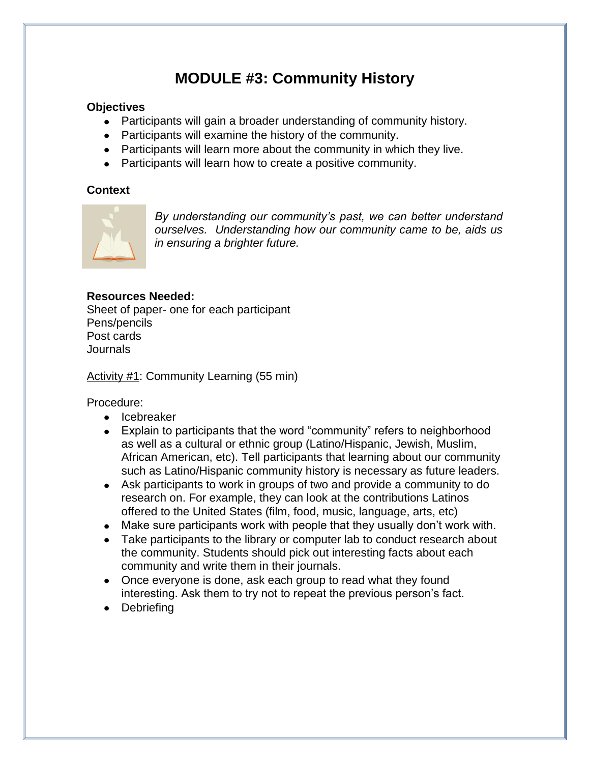## **MODULE #3: Community History**

## **Objectives**

- Participants will gain a broader understanding of community history.
- Participants will examine the history of the community.
- Participants will learn more about the community in which they live.
- Participants will learn how to create a positive community.

## **Context**



*By understanding our community's past, we can better understand ourselves. Understanding how our community came to be, aids us in ensuring a brighter future.*

## **Resources Needed:**

Sheet of paper- one for each participant Pens/pencils Post cards Journals

Activity #1: Community Learning (55 min)

Procedure:

- Icebreaker
- Explain to participants that the word "community" refers to neighborhood as well as a cultural or ethnic group (Latino/Hispanic, Jewish, Muslim, African American, etc). Tell participants that learning about our community such as Latino/Hispanic community history is necessary as future leaders.
- Ask participants to work in groups of two and provide a community to do research on. For example, they can look at the contributions Latinos offered to the United States (film, food, music, language, arts, etc)
- Make sure participants work with people that they usually don't work with.
- Take participants to the library or computer lab to conduct research about the community. Students should pick out interesting facts about each community and write them in their journals.
- Once everyone is done, ask each group to read what they found interesting. Ask them to try not to repeat the previous person's fact.
- Debriefing